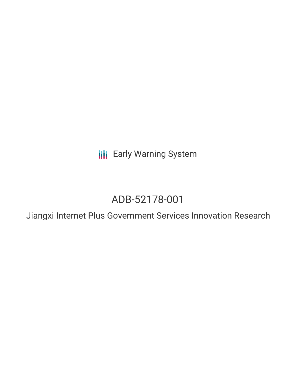**III** Early Warning System

## ADB-52178-001

Jiangxi Internet Plus Government Services Innovation Research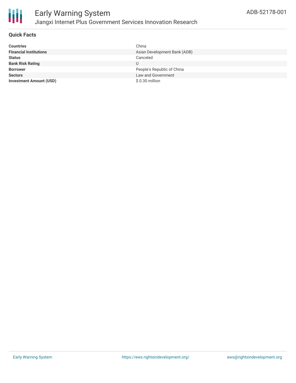

#### **Quick Facts**

| <b>Countries</b>               | China                        |
|--------------------------------|------------------------------|
| <b>Financial Institutions</b>  | Asian Development Bank (ADB) |
| <b>Status</b>                  | Canceled                     |
| <b>Bank Risk Rating</b>        | U                            |
| <b>Borrower</b>                | People's Republic of China   |
| <b>Sectors</b>                 | Law and Government           |
| <b>Investment Amount (USD)</b> | \$0.30 million               |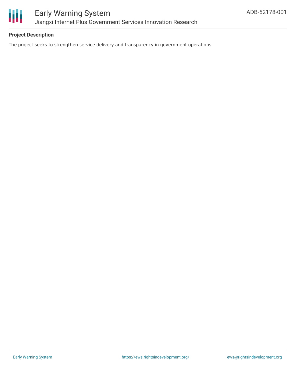

#### **Project Description**

The project seeks to strengthen service delivery and transparency in government operations.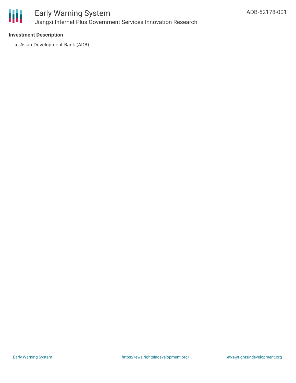

### Early Warning System Jiangxi Internet Plus Government Services Innovation Research

#### **Investment Description**

Asian Development Bank (ADB)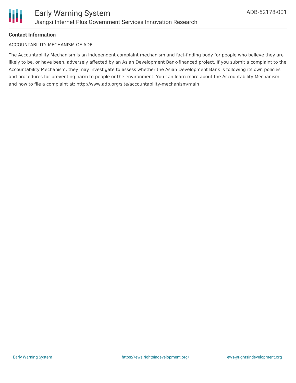

#### **Contact Information**

#### ACCOUNTABILITY MECHANISM OF ADB

The Accountability Mechanism is an independent complaint mechanism and fact-finding body for people who believe they are likely to be, or have been, adversely affected by an Asian Development Bank-financed project. If you submit a complaint to the Accountability Mechanism, they may investigate to assess whether the Asian Development Bank is following its own policies and procedures for preventing harm to people or the environment. You can learn more about the Accountability Mechanism and how to file a complaint at: http://www.adb.org/site/accountability-mechanism/main